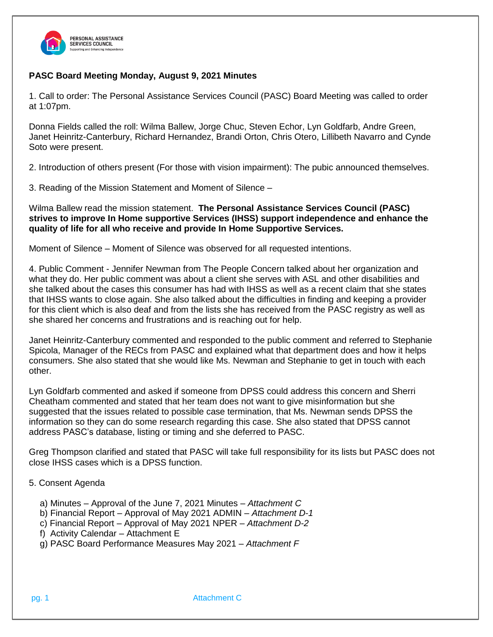

## **PASC Board Meeting Monday, August 9, 2021 Minutes**

1. Call to order: The Personal Assistance Services Council (PASC) Board Meeting was called to order at 1:07pm.

Donna Fields called the roll: Wilma Ballew, Jorge Chuc, Steven Echor, Lyn Goldfarb, Andre Green, Janet Heinritz-Canterbury, Richard Hernandez, Brandi Orton, Chris Otero, Lillibeth Navarro and Cynde Soto were present.

2. Introduction of others present (For those with vision impairment): The pubic announced themselves.

3. Reading of the Mission Statement and Moment of Silence –

Wilma Ballew read the mission statement. **The Personal Assistance Services Council (PASC) strives to improve In Home supportive Services (IHSS) support independence and enhance the quality of life for all who receive and provide In Home Supportive Services.**

Moment of Silence – Moment of Silence was observed for all requested intentions.

4. Public Comment - Jennifer Newman from The People Concern talked about her organization and what they do. Her public comment was about a client she serves with ASL and other disabilities and she talked about the cases this consumer has had with IHSS as well as a recent claim that she states that IHSS wants to close again. She also talked about the difficulties in finding and keeping a provider for this client which is also deaf and from the lists she has received from the PASC registry as well as she shared her concerns and frustrations and is reaching out for help.

Janet Heinritz-Canterbury commented and responded to the public comment and referred to Stephanie Spicola, Manager of the RECs from PASC and explained what that department does and how it helps consumers. She also stated that she would like Ms. Newman and Stephanie to get in touch with each other.

Lyn Goldfarb commented and asked if someone from DPSS could address this concern and Sherri Cheatham commented and stated that her team does not want to give misinformation but she suggested that the issues related to possible case termination, that Ms. Newman sends DPSS the information so they can do some research regarding this case. She also stated that DPSS cannot address PASC's database, listing or timing and she deferred to PASC.

Greg Thompson clarified and stated that PASC will take full responsibility for its lists but PASC does not close IHSS cases which is a DPSS function.

## 5. Consent Agenda

- a) Minutes Approval of the June 7, 2021 Minutes *Attachment C*
- b) Financial Report Approval of May 2021 ADMIN *Attachment D-1*
- c) Financial Report Approval of May 2021 NPER *Attachment D-2*
- f) Activity Calendar Attachment E
- g) PASC Board Performance Measures May 2021 *– Attachment F*

pg. 1 Attachment C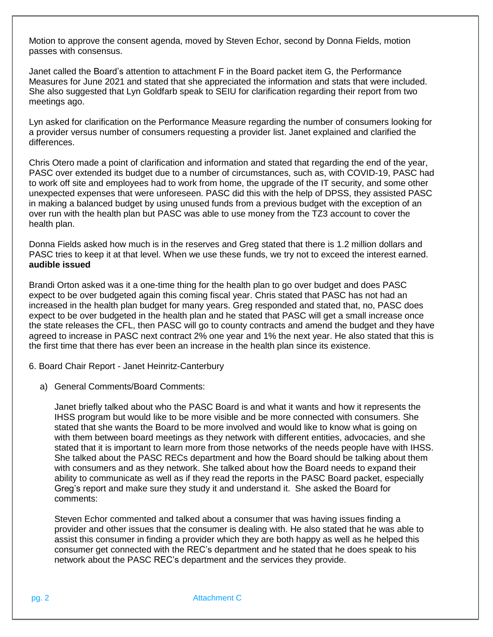Motion to approve the consent agenda, moved by Steven Echor, second by Donna Fields, motion passes with consensus.

Janet called the Board's attention to attachment F in the Board packet item G, the Performance Measures for June 2021 and stated that she appreciated the information and stats that were included. She also suggested that Lyn Goldfarb speak to SEIU for clarification regarding their report from two meetings ago.

Lyn asked for clarification on the Performance Measure regarding the number of consumers looking for a provider versus number of consumers requesting a provider list. Janet explained and clarified the differences.

Chris Otero made a point of clarification and information and stated that regarding the end of the year, PASC over extended its budget due to a number of circumstances, such as, with COVID-19, PASC had to work off site and employees had to work from home, the upgrade of the IT security, and some other unexpected expenses that were unforeseen. PASC did this with the help of DPSS, they assisted PASC in making a balanced budget by using unused funds from a previous budget with the exception of an over run with the health plan but PASC was able to use money from the TZ3 account to cover the health plan.

Donna Fields asked how much is in the reserves and Greg stated that there is 1.2 million dollars and PASC tries to keep it at that level. When we use these funds, we try not to exceed the interest earned. **audible issued**

Brandi Orton asked was it a one-time thing for the health plan to go over budget and does PASC expect to be over budgeted again this coming fiscal year. Chris stated that PASC has not had an increased in the health plan budget for many years. Greg responded and stated that, no, PASC does expect to be over budgeted in the health plan and he stated that PASC will get a small increase once the state releases the CFL, then PASC will go to county contracts and amend the budget and they have agreed to increase in PASC next contract 2% one year and 1% the next year. He also stated that this is the first time that there has ever been an increase in the health plan since its existence.

- 6. Board Chair Report Janet Heinritz-Canterbury
	- a) General Comments/Board Comments:

Janet briefly talked about who the PASC Board is and what it wants and how it represents the IHSS program but would like to be more visible and be more connected with consumers. She stated that she wants the Board to be more involved and would like to know what is going on with them between board meetings as they network with different entities, advocacies, and she stated that it is important to learn more from those networks of the needs people have with IHSS. She talked about the PASC RECs department and how the Board should be talking about them with consumers and as they network. She talked about how the Board needs to expand their ability to communicate as well as if they read the reports in the PASC Board packet, especially Greg's report and make sure they study it and understand it. She asked the Board for comments:

Steven Echor commented and talked about a consumer that was having issues finding a provider and other issues that the consumer is dealing with. He also stated that he was able to assist this consumer in finding a provider which they are both happy as well as he helped this consumer get connected with the REC's department and he stated that he does speak to his network about the PASC REC's department and the services they provide.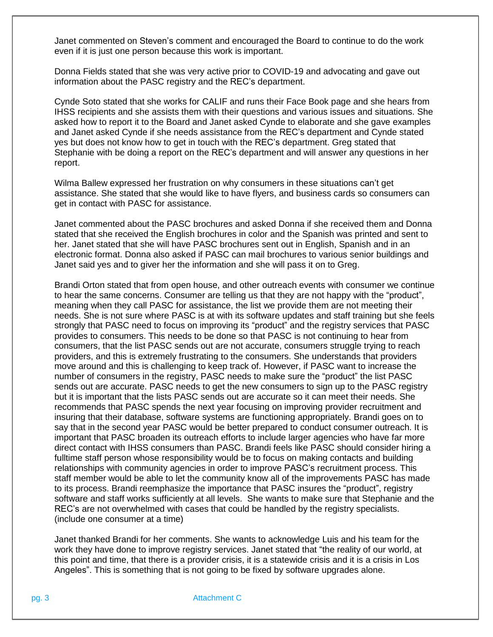Janet commented on Steven's comment and encouraged the Board to continue to do the work even if it is just one person because this work is important.

Donna Fields stated that she was very active prior to COVID-19 and advocating and gave out information about the PASC registry and the REC's department.

Cynde Soto stated that she works for CALIF and runs their Face Book page and she hears from IHSS recipients and she assists them with their questions and various issues and situations. She asked how to report it to the Board and Janet asked Cynde to elaborate and she gave examples and Janet asked Cynde if she needs assistance from the REC's department and Cynde stated yes but does not know how to get in touch with the REC's department. Greg stated that Stephanie with be doing a report on the REC's department and will answer any questions in her report.

Wilma Ballew expressed her frustration on why consumers in these situations can't get assistance. She stated that she would like to have flyers, and business cards so consumers can get in contact with PASC for assistance.

Janet commented about the PASC brochures and asked Donna if she received them and Donna stated that she received the English brochures in color and the Spanish was printed and sent to her. Janet stated that she will have PASC brochures sent out in English, Spanish and in an electronic format. Donna also asked if PASC can mail brochures to various senior buildings and Janet said yes and to giver her the information and she will pass it on to Greg.

Brandi Orton stated that from open house, and other outreach events with consumer we continue to hear the same concerns. Consumer are telling us that they are not happy with the "product", meaning when they call PASC for assistance, the list we provide them are not meeting their needs. She is not sure where PASC is at with its software updates and staff training but she feels strongly that PASC need to focus on improving its "product" and the registry services that PASC provides to consumers. This needs to be done so that PASC is not continuing to hear from consumers, that the list PASC sends out are not accurate, consumers struggle trying to reach providers, and this is extremely frustrating to the consumers. She understands that providers move around and this is challenging to keep track of. However, if PASC want to increase the number of consumers in the registry, PASC needs to make sure the "product" the list PASC sends out are accurate. PASC needs to get the new consumers to sign up to the PASC registry but it is important that the lists PASC sends out are accurate so it can meet their needs. She recommends that PASC spends the next year focusing on improving provider recruitment and insuring that their database, software systems are functioning appropriately. Brandi goes on to say that in the second year PASC would be better prepared to conduct consumer outreach. It is important that PASC broaden its outreach efforts to include larger agencies who have far more direct contact with IHSS consumers than PASC. Brandi feels like PASC should consider hiring a fulltime staff person whose responsibility would be to focus on making contacts and building relationships with community agencies in order to improve PASC's recruitment process. This staff member would be able to let the community know all of the improvements PASC has made to its process. Brandi reemphasize the importance that PASC insures the "product", registry software and staff works sufficiently at all levels. She wants to make sure that Stephanie and the REC's are not overwhelmed with cases that could be handled by the registry specialists. (include one consumer at a time)

Janet thanked Brandi for her comments. She wants to acknowledge Luis and his team for the work they have done to improve registry services. Janet stated that "the reality of our world, at this point and time, that there is a provider crisis, it is a statewide crisis and it is a crisis in Los Angeles". This is something that is not going to be fixed by software upgrades alone.

#### pg. 3 Attachment C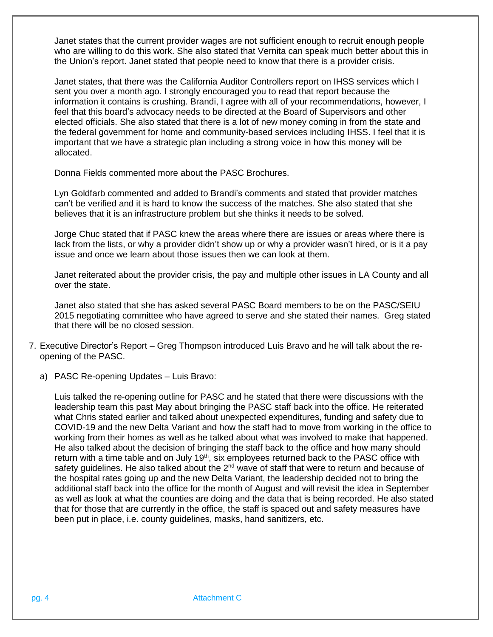Janet states that the current provider wages are not sufficient enough to recruit enough people who are willing to do this work. She also stated that Vernita can speak much better about this in the Union's report. Janet stated that people need to know that there is a provider crisis.

Janet states, that there was the California Auditor Controllers report on IHSS services which I sent you over a month ago. I strongly encouraged you to read that report because the information it contains is crushing. Brandi, I agree with all of your recommendations, however, I feel that this board's advocacy needs to be directed at the Board of Supervisors and other elected officials. She also stated that there is a lot of new money coming in from the state and the federal government for home and community-based services including IHSS. I feel that it is important that we have a strategic plan including a strong voice in how this money will be allocated.

Donna Fields commented more about the PASC Brochures.

Lyn Goldfarb commented and added to Brandi's comments and stated that provider matches can't be verified and it is hard to know the success of the matches. She also stated that she believes that it is an infrastructure problem but she thinks it needs to be solved.

Jorge Chuc stated that if PASC knew the areas where there are issues or areas where there is lack from the lists, or why a provider didn't show up or why a provider wasn't hired, or is it a pay issue and once we learn about those issues then we can look at them.

Janet reiterated about the provider crisis, the pay and multiple other issues in LA County and all over the state.

Janet also stated that she has asked several PASC Board members to be on the PASC/SEIU 2015 negotiating committee who have agreed to serve and she stated their names. Greg stated that there will be no closed session.

- 7. Executive Director's Report Greg Thompson introduced Luis Bravo and he will talk about the reopening of the PASC.
	- a) PASC Re-opening Updates Luis Bravo:

Luis talked the re-opening outline for PASC and he stated that there were discussions with the leadership team this past May about bringing the PASC staff back into the office. He reiterated what Chris stated earlier and talked about unexpected expenditures, funding and safety due to COVID-19 and the new Delta Variant and how the staff had to move from working in the office to working from their homes as well as he talked about what was involved to make that happened. He also talked about the decision of bringing the staff back to the office and how many should return with a time table and on July 19<sup>th</sup>, six employees returned back to the PASC office with safety guidelines. He also talked about the 2<sup>nd</sup> wave of staff that were to return and because of the hospital rates going up and the new Delta Variant, the leadership decided not to bring the additional staff back into the office for the month of August and will revisit the idea in September as well as look at what the counties are doing and the data that is being recorded. He also stated that for those that are currently in the office, the staff is spaced out and safety measures have been put in place, i.e. county guidelines, masks, hand sanitizers, etc.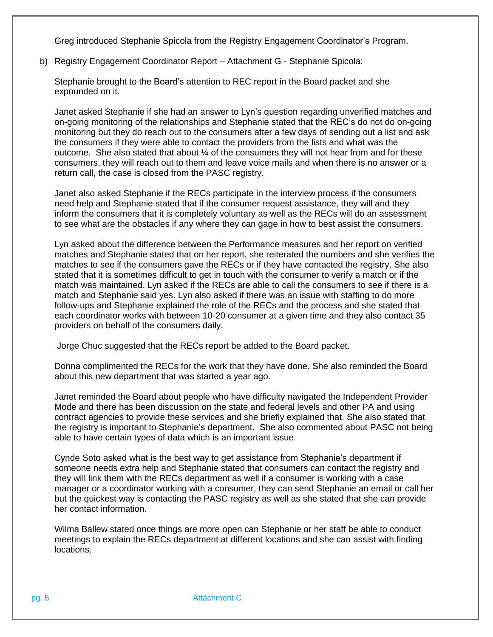Greg introduced Stephanie Spicola from the Registry Engagement Coordinator's Program.

b) Registry Engagement Coordinator Report – Attachment G - Stephanie Spicola:

Stephanie brought to the Board's attention to REC report in the Board packet and she expounded on it.

Janet asked Stephanie if she had an answer to Lyn's question regarding unverified matches and on-going monitoring of the relationships and Stephanie stated that the REC's do not do on-going monitoring but they do reach out to the consumers after a few days of sending out a list and ask the consumers if they were able to contact the providers from the lists and what was the outcome. She also stated that about  $\frac{1}{4}$  of the consumers they will not hear from and for these consumers, they will reach out to them and leave voice mails and when there is no answer or a return call, the case is closed from the PASC registry.

Janet also asked Stephanie if the RECs participate in the interview process if the consumers need help and Stephanie stated that if the consumer request assistance, they will and they inform the consumers that it is completely voluntary as well as the RECs will do an assessment to see what are the obstacles if any where they can gage in how to best assist the consumers.

Lyn asked about the difference between the Performance measures and her report on verified matches and Stephanie stated that on her report, she reiterated the numbers and she verifies the matches to see if the consumers gave the RECs or if they have contacted the registry. She also stated that it is sometimes difficult to get in touch with the consumer to verify a match or if the match was maintained. Lyn asked if the RECs are able to call the consumers to see if there is a match and Stephanie said yes. Lyn also asked if there was an issue with staffing to do more follow-ups and Stephanie explained the role of the RECs and the process and she stated that each coordinator works with between 10-20 consumer at a given time and they also contact 35 providers on behalf of the consumers daily.

Jorge Chuc suggested that the RECs report be added to the Board packet.

Donna complimented the RECs for the work that they have done. She also reminded the Board about this new department that was started a year ago.

Janet reminded the Board about people who have difficulty navigated the Independent Provider Mode and there has been discussion on the state and federal levels and other PA and using contract agencies to provide these services and she briefly explained that. She also stated that the registry is important to Stephanie's department. She also commented about PASC not being able to have certain types of data which is an important issue.

Cynde Soto asked what is the best way to get assistance from Stephanie's department if someone needs extra help and Stephanie stated that consumers can contact the registry and they will link them with the RECs department as well if a consumer is working with a case manager or a coordinator working with a consumer, they can send Stephanie an email or call her but the quickest way is contacting the PASC registry as well as she stated that she can provide her contact information.

Wilma Ballew stated once things are more open can Stephanie or her staff be able to conduct meetings to explain the RECs department at different locations and she can assist with finding locations.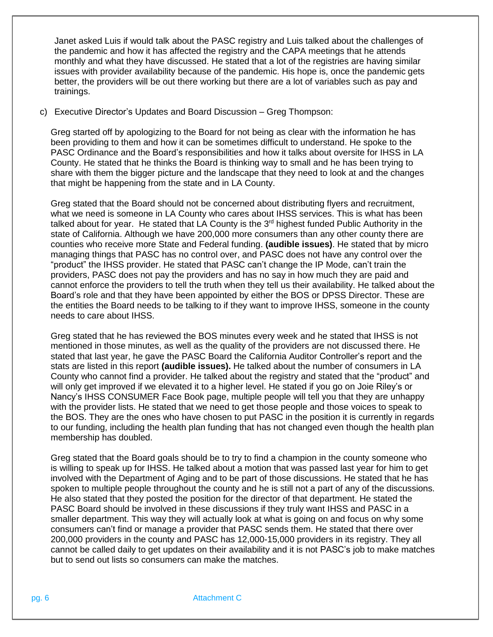Janet asked Luis if would talk about the PASC registry and Luis talked about the challenges of the pandemic and how it has affected the registry and the CAPA meetings that he attends monthly and what they have discussed. He stated that a lot of the registries are having similar issues with provider availability because of the pandemic. His hope is, once the pandemic gets better, the providers will be out there working but there are a lot of variables such as pay and trainings.

## c) Executive Director's Updates and Board Discussion – Greg Thompson:

Greg started off by apologizing to the Board for not being as clear with the information he has been providing to them and how it can be sometimes difficult to understand. He spoke to the PASC Ordinance and the Board's responsibilities and how it talks about oversite for IHSS in LA County. He stated that he thinks the Board is thinking way to small and he has been trying to share with them the bigger picture and the landscape that they need to look at and the changes that might be happening from the state and in LA County.

Greg stated that the Board should not be concerned about distributing flyers and recruitment, what we need is someone in LA County who cares about IHSS services. This is what has been talked about for year. He stated that LA County is the 3<sup>rd</sup> highest funded Public Authority in the state of California. Although we have 200,000 more consumers than any other county there are counties who receive more State and Federal funding. **(audible issues)**. He stated that by micro managing things that PASC has no control over, and PASC does not have any control over the "product" the IHSS provider. He stated that PASC can't change the IP Mode, can't train the providers, PASC does not pay the providers and has no say in how much they are paid and cannot enforce the providers to tell the truth when they tell us their availability. He talked about the Board's role and that they have been appointed by either the BOS or DPSS Director. These are the entities the Board needs to be talking to if they want to improve IHSS, someone in the county needs to care about IHSS.

Greg stated that he has reviewed the BOS minutes every week and he stated that IHSS is not mentioned in those minutes, as well as the quality of the providers are not discussed there. He stated that last year, he gave the PASC Board the California Auditor Controller's report and the stats are listed in this report **(audible issues).** He talked about the number of consumers in LA County who cannot find a provider. He talked about the registry and stated that the "product" and will only get improved if we elevated it to a higher level. He stated if you go on Joie Riley's or Nancy's IHSS CONSUMER Face Book page, multiple people will tell you that they are unhappy with the provider lists. He stated that we need to get those people and those voices to speak to the BOS. They are the ones who have chosen to put PASC in the position it is currently in regards to our funding, including the health plan funding that has not changed even though the health plan membership has doubled.

Greg stated that the Board goals should be to try to find a champion in the county someone who is willing to speak up for IHSS. He talked about a motion that was passed last year for him to get involved with the Department of Aging and to be part of those discussions. He stated that he has spoken to multiple people throughout the county and he is still not a part of any of the discussions. He also stated that they posted the position for the director of that department. He stated the PASC Board should be involved in these discussions if they truly want IHSS and PASC in a smaller department. This way they will actually look at what is going on and focus on why some consumers can't find or manage a provider that PASC sends them. He stated that there over 200,000 providers in the county and PASC has 12,000-15,000 providers in its registry. They all cannot be called daily to get updates on their availability and it is not PASC's job to make matches but to send out lists so consumers can make the matches.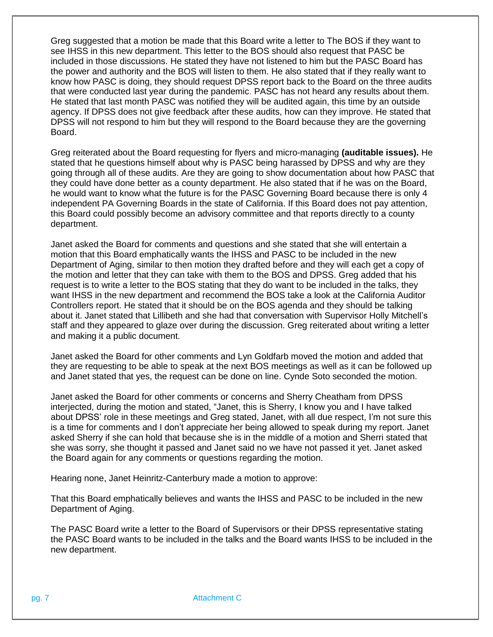Greg suggested that a motion be made that this Board write a letter to The BOS if they want to see IHSS in this new department. This letter to the BOS should also request that PASC be included in those discussions. He stated they have not listened to him but the PASC Board has the power and authority and the BOS will listen to them. He also stated that if they really want to know how PASC is doing, they should request DPSS report back to the Board on the three audits that were conducted last year during the pandemic. PASC has not heard any results about them. He stated that last month PASC was notified they will be audited again, this time by an outside agency. If DPSS does not give feedback after these audits, how can they improve. He stated that DPSS will not respond to him but they will respond to the Board because they are the governing Board.

Greg reiterated about the Board requesting for flyers and micro-managing **(auditable issues).** He stated that he questions himself about why is PASC being harassed by DPSS and why are they going through all of these audits. Are they are going to show documentation about how PASC that they could have done better as a county department. He also stated that if he was on the Board, he would want to know what the future is for the PASC Governing Board because there is only 4 independent PA Governing Boards in the state of California. If this Board does not pay attention, this Board could possibly become an advisory committee and that reports directly to a county department.

Janet asked the Board for comments and questions and she stated that she will entertain a motion that this Board emphatically wants the IHSS and PASC to be included in the new Department of Aging, similar to then motion they drafted before and they will each get a copy of the motion and letter that they can take with them to the BOS and DPSS. Greg added that his request is to write a letter to the BOS stating that they do want to be included in the talks, they want IHSS in the new department and recommend the BOS take a look at the California Auditor Controllers report. He stated that it should be on the BOS agenda and they should be talking about it. Janet stated that Lillibeth and she had that conversation with Supervisor Holly Mitchell's staff and they appeared to glaze over during the discussion. Greg reiterated about writing a letter and making it a public document.

Janet asked the Board for other comments and Lyn Goldfarb moved the motion and added that they are requesting to be able to speak at the next BOS meetings as well as it can be followed up and Janet stated that yes, the request can be done on line. Cynde Soto seconded the motion.

Janet asked the Board for other comments or concerns and Sherry Cheatham from DPSS interjected, during the motion and stated, "Janet, this is Sherry, I know you and I have talked about DPSS' role in these meetings and Greg stated, Janet, with all due respect, I'm not sure this is a time for comments and I don't appreciate her being allowed to speak during my report. Janet asked Sherry if she can hold that because she is in the middle of a motion and Sherri stated that she was sorry, she thought it passed and Janet said no we have not passed it yet. Janet asked the Board again for any comments or questions regarding the motion.

Hearing none, Janet Heinritz-Canterbury made a motion to approve:

That this Board emphatically believes and wants the IHSS and PASC to be included in the new Department of Aging.

The PASC Board write a letter to the Board of Supervisors or their DPSS representative stating the PASC Board wants to be included in the talks and the Board wants IHSS to be included in the new department.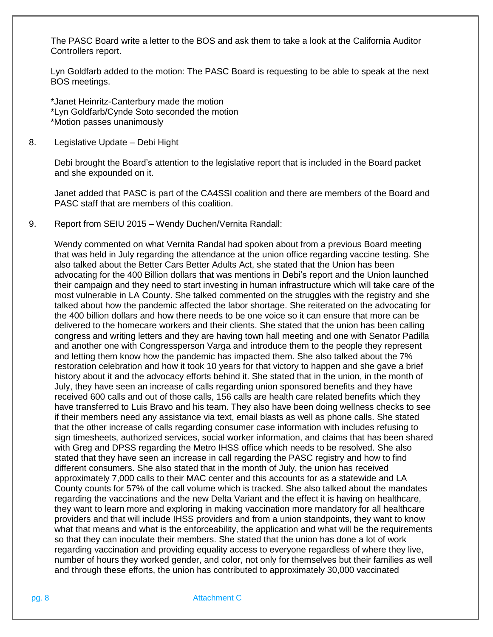The PASC Board write a letter to the BOS and ask them to take a look at the California Auditor Controllers report.

Lyn Goldfarb added to the motion: The PASC Board is requesting to be able to speak at the next BOS meetings.

\*Janet Heinritz-Canterbury made the motion \*Lyn Goldfarb/Cynde Soto seconded the motion \*Motion passes unanimously

8. Legislative Update – Debi Hight

Debi brought the Board's attention to the legislative report that is included in the Board packet and she expounded on it.

Janet added that PASC is part of the CA4SSI coalition and there are members of the Board and PASC staff that are members of this coalition.

9. Report from SEIU 2015 – Wendy Duchen/Vernita Randall:

Wendy commented on what Vernita Randal had spoken about from a previous Board meeting that was held in July regarding the attendance at the union office regarding vaccine testing. She also talked about the Better Cars Better Adults Act, she stated that the Union has been advocating for the 400 Billion dollars that was mentions in Debi's report and the Union launched their campaign and they need to start investing in human infrastructure which will take care of the most vulnerable in LA County. She talked commented on the struggles with the registry and she talked about how the pandemic affected the labor shortage. She reiterated on the advocating for the 400 billion dollars and how there needs to be one voice so it can ensure that more can be delivered to the homecare workers and their clients. She stated that the union has been calling congress and writing letters and they are having town hall meeting and one with Senator Padilla and another one with Congressperson Varga and introduce them to the people they represent and letting them know how the pandemic has impacted them. She also talked about the 7% restoration celebration and how it took 10 years for that victory to happen and she gave a brief history about it and the advocacy efforts behind it. She stated that in the union, in the month of July, they have seen an increase of calls regarding union sponsored benefits and they have received 600 calls and out of those calls, 156 calls are health care related benefits which they have transferred to Luis Bravo and his team. They also have been doing wellness checks to see if their members need any assistance via text, email blasts as well as phone calls. She stated that the other increase of calls regarding consumer case information with includes refusing to sign timesheets, authorized services, social worker information, and claims that has been shared with Greg and DPSS regarding the Metro IHSS office which needs to be resolved. She also stated that they have seen an increase in call regarding the PASC registry and how to find different consumers. She also stated that in the month of July, the union has received approximately 7,000 calls to their MAC center and this accounts for as a statewide and LA County counts for 57% of the call volume which is tracked. She also talked about the mandates regarding the vaccinations and the new Delta Variant and the effect it is having on healthcare, they want to learn more and exploring in making vaccination more mandatory for all healthcare providers and that will include IHSS providers and from a union standpoints, they want to know what that means and what is the enforceability, the application and what will be the requirements so that they can inoculate their members. She stated that the union has done a lot of work regarding vaccination and providing equality access to everyone regardless of where they live, number of hours they worked gender, and color, not only for themselves but their families as well and through these efforts, the union has contributed to approximately 30,000 vaccinated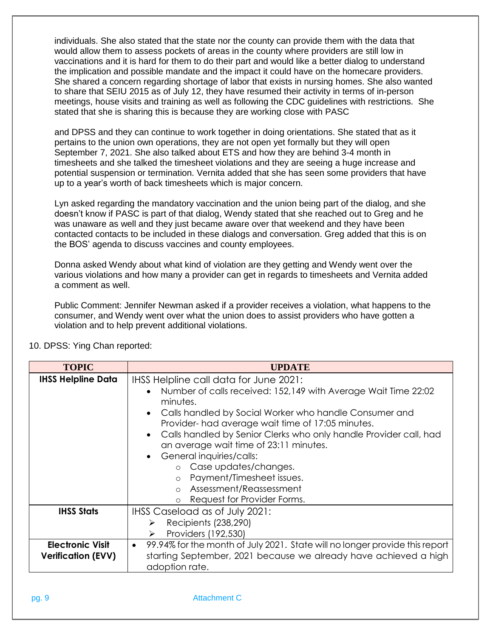individuals. She also stated that the state nor the county can provide them with the data that would allow them to assess pockets of areas in the county where providers are still low in vaccinations and it is hard for them to do their part and would like a better dialog to understand the implication and possible mandate and the impact it could have on the homecare providers. She shared a concern regarding shortage of labor that exists in nursing homes. She also wanted to share that SEIU 2015 as of July 12, they have resumed their activity in terms of in-person meetings, house visits and training as well as following the CDC guidelines with restrictions. She stated that she is sharing this is because they are working close with PASC

and DPSS and they can continue to work together in doing orientations. She stated that as it pertains to the union own operations, they are not open yet formally but they will open September 7, 2021. She also talked about ETS and how they are behind 3-4 month in timesheets and she talked the timesheet violations and they are seeing a huge increase and potential suspension or termination. Vernita added that she has seen some providers that have up to a year's worth of back timesheets which is major concern.

Lyn asked regarding the mandatory vaccination and the union being part of the dialog, and she doesn't know if PASC is part of that dialog, Wendy stated that she reached out to Greg and he was unaware as well and they just became aware over that weekend and they have been contacted contacts to be included in these dialogs and conversation. Greg added that this is on the BOS' agenda to discuss vaccines and county employees.

Donna asked Wendy about what kind of violation are they getting and Wendy went over the various violations and how many a provider can get in regards to timesheets and Vernita added a comment as well.

Public Comment: Jennifer Newman asked if a provider receives a violation, what happens to the consumer, and Wendy went over what the union does to assist providers who have gotten a violation and to help prevent additional violations.

| <b>TOPIC</b>                                         | <b>UPDATE</b>                                                                                                                                                                                                                                                                                                                                                                                                                                                                                                                      |
|------------------------------------------------------|------------------------------------------------------------------------------------------------------------------------------------------------------------------------------------------------------------------------------------------------------------------------------------------------------------------------------------------------------------------------------------------------------------------------------------------------------------------------------------------------------------------------------------|
| <b>IHSS Helpline Data</b>                            | IHSS Helpline call data for June 2021:<br>Number of calls received: 152,149 with Average Wait Time 22:02<br>minutes.<br>Calls handled by Social Worker who handle Consumer and<br>Provider- had average wait time of 17:05 minutes.<br>Calls handled by Senior Clerks who only handle Provider call, had<br>an average wait time of 23:11 minutes.<br>General inquiries/calls:<br>o Case updates/changes.<br>Payment/Timesheet issues.<br>$\circ$<br>Assessment/Reassessment<br>$\Omega$<br>Request for Provider Forms.<br>$\circ$ |
| <b>IHSS Stats</b>                                    | IHSS Caseload as of July 2021:<br>Recipients (238,290)<br>➤<br>Providers (192,530)<br>≻                                                                                                                                                                                                                                                                                                                                                                                                                                            |
| <b>Electronic Visit</b><br><b>Verification (EVV)</b> | 99.94% for the month of July 2021. State will no longer provide this report<br>$\bullet$<br>starting September, 2021 because we already have achieved a high<br>adoption rate.                                                                                                                                                                                                                                                                                                                                                     |

# 10. DPSS: Ying Chan reported: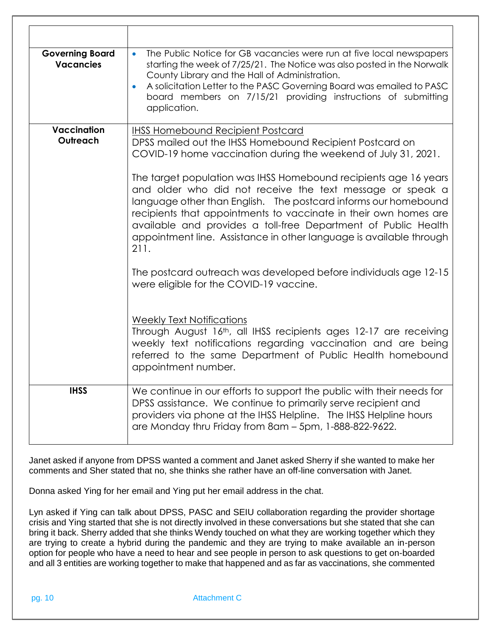| <b>Governing Board</b><br><b>Vacancies</b> | The Public Notice for GB vacancies were run at five local newspapers<br>$\bullet$<br>starting the week of 7/25/21. The Notice was also posted in the Norwalk<br>County Library and the Hall of Administration.<br>A solicitation Letter to the PASC Governing Board was emailed to PASC<br>$\bullet$<br>board members on 7/15/21 providing instructions of submitting<br>application.                                                                                                                                                                                                                                                                                                                                                                                                                                                                                                                                                                                         |
|--------------------------------------------|-------------------------------------------------------------------------------------------------------------------------------------------------------------------------------------------------------------------------------------------------------------------------------------------------------------------------------------------------------------------------------------------------------------------------------------------------------------------------------------------------------------------------------------------------------------------------------------------------------------------------------------------------------------------------------------------------------------------------------------------------------------------------------------------------------------------------------------------------------------------------------------------------------------------------------------------------------------------------------|
| <b>Vaccination</b><br>Outreach             | <b>IHSS Homebound Recipient Postcard</b><br>DPSS mailed out the IHSS Homebound Recipient Postcard on<br>COVID-19 home vaccination during the weekend of July 31, 2021.<br>The target population was IHSS Homebound recipients age 16 years<br>and older who did not receive the text message or speak a<br>language other than English. The postcard informs our homebound<br>recipients that appointments to vaccinate in their own homes are<br>available and provides a toll-free Department of Public Health<br>appointment line. Assistance in other language is available through<br>211.<br>The postcard outreach was developed before individuals age 12-15<br>were eligible for the COVID-19 vaccine.<br><b>Weekly Text Notifications</b><br>Through August 16th, all IHSS recipients ages 12-17 are receiving<br>weekly text notifications regarding vaccination and are being<br>referred to the same Department of Public Health homebound<br>appointment number. |
| <b>IHSS</b>                                | We continue in our efforts to support the public with their needs for<br>DPSS assistance. We continue to primarily serve recipient and<br>providers via phone at the IHSS Helpline. The IHSS Helpline hours<br>are Monday thru Friday from 8am - 5pm, 1-888-822-9622.                                                                                                                                                                                                                                                                                                                                                                                                                                                                                                                                                                                                                                                                                                         |

Janet asked if anyone from DPSS wanted a comment and Janet asked Sherry if she wanted to make her comments and Sher stated that no, she thinks she rather have an off-line conversation with Janet.

Donna asked Ying for her email and Ying put her email address in the chat.

Lyn asked if Ying can talk about DPSS, PASC and SEIU collaboration regarding the provider shortage crisis and Ying started that she is not directly involved in these conversations but she stated that she can bring it back. Sherry added that she thinks Wendy touched on what they are working together which they are trying to create a hybrid during the pandemic and they are trying to make available an in-person option for people who have a need to hear and see people in person to ask questions to get on-boarded and all 3 entities are working together to make that happened and as far as vaccinations, she commented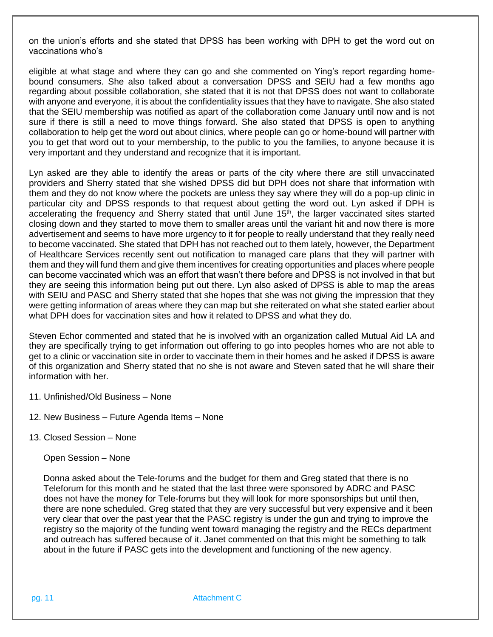on the union's efforts and she stated that DPSS has been working with DPH to get the word out on vaccinations who's

eligible at what stage and where they can go and she commented on Ying's report regarding homebound consumers. She also talked about a conversation DPSS and SEIU had a few months ago regarding about possible collaboration, she stated that it is not that DPSS does not want to collaborate with anyone and everyone, it is about the confidentiality issues that they have to navigate. She also stated that the SEIU membership was notified as apart of the collaboration come January until now and is not sure if there is still a need to move things forward. She also stated that DPSS is open to anything collaboration to help get the word out about clinics, where people can go or home-bound will partner with you to get that word out to your membership, to the public to you the families, to anyone because it is very important and they understand and recognize that it is important.

Lyn asked are they able to identify the areas or parts of the city where there are still unvaccinated providers and Sherry stated that she wished DPSS did but DPH does not share that information with them and they do not know where the pockets are unless they say where they will do a pop-up clinic in particular city and DPSS responds to that request about getting the word out. Lyn asked if DPH is accelerating the frequency and Sherry stated that until June  $15<sup>th</sup>$ , the larger vaccinated sites started closing down and they started to move them to smaller areas until the variant hit and now there is more advertisement and seems to have more urgency to it for people to really understand that they really need to become vaccinated. She stated that DPH has not reached out to them lately, however, the Department of Healthcare Services recently sent out notification to managed care plans that they will partner with them and they will fund them and give them incentives for creating opportunities and places where people can become vaccinated which was an effort that wasn't there before and DPSS is not involved in that but they are seeing this information being put out there. Lyn also asked of DPSS is able to map the areas with SEIU and PASC and Sherry stated that she hopes that she was not giving the impression that they were getting information of areas where they can map but she reiterated on what she stated earlier about what DPH does for vaccination sites and how it related to DPSS and what they do.

Steven Echor commented and stated that he is involved with an organization called Mutual Aid LA and they are specifically trying to get information out offering to go into peoples homes who are not able to get to a clinic or vaccination site in order to vaccinate them in their homes and he asked if DPSS is aware of this organization and Sherry stated that no she is not aware and Steven sated that he will share their information with her.

- 11. Unfinished/Old Business None
- 12. New Business Future Agenda Items None
- 13. Closed Session None

#### Open Session – None

Donna asked about the Tele-forums and the budget for them and Greg stated that there is no Teleforum for this month and he stated that the last three were sponsored by ADRC and PASC does not have the money for Tele-forums but they will look for more sponsorships but until then, there are none scheduled. Greg stated that they are very successful but very expensive and it been very clear that over the past year that the PASC registry is under the gun and trying to improve the registry so the majority of the funding went toward managing the registry and the RECs department and outreach has suffered because of it. Janet commented on that this might be something to talk about in the future if PASC gets into the development and functioning of the new agency.